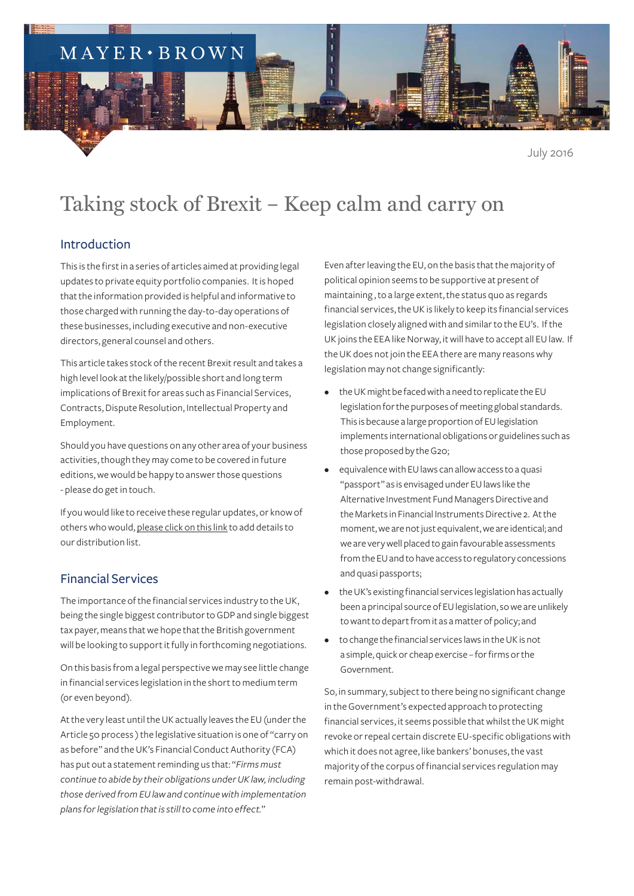## $MAYER \cdot BROWN$

July 2016

# Taking stock of Brexit – Keep calm and carry on

#### Introduction

This is the first in a series of articles aimed at providing legal updates to private equity portfolio companies. It is hoped that the information provided is helpful and informative to those charged with running the day-to-day operations of these businesses, including executive and non-executive directors, general counsel and others.

This article takes stock of the recent Brexit result and takes a high level look at the likely/possible short and long term implications of Brexit for areas such as Financial Services, Contracts, Dispute Resolution, Intellectual Property and Employment.

Should you have questions on any other area of your business activities, though they may come to be covered in future editions, we would be happy to answer those questions - please do get in touch.

If you would like to receive these regular updates, or know of others who would, [please click on this link](http://reaction.mayerbrown.com/reaction/RSGenPage.asp?RSID=XgDsVNofDrftAhChD17w1NL9x7key5f0hnKlBCLdm9-XIk2K_RxXLmdLdkgW0i1d) to add details to our distribution list.

#### Financial Services

The importance of the financial services industry to the UK, being the single biggest contributor to GDP and single biggest tax payer, means that we hope that the British government will be looking to support it fully in forthcoming negotiations.

On this basis from a legal perspective we may see little change in financial services legislation in the short to medium term (or even beyond).

At the very least until the UK actually leaves the EU (under the Article 50 process ) the legislative situation is one of "carry on as before" and the UK's Financial Conduct Authority (FCA) has put out a statement reminding us that: "*Firms must continue to abide by their obligations under UK law, including those derived from EU law and continue with implementation plans for legislation that is still to come into effect.*"

Even after leaving the EU, on the basis that the majority of political opinion seems to be supportive at present of maintaining , to a large extent, the status quo as regards financial services, the UK is likely to keep its financial services legislation closely aligned with and similar to the EU's. If the UK joins the EEA like Norway, it will have to accept all EU law. If the UK does not join the EEA there are many reasons why legislation may not change significantly:

- the UK might be faced with a need to replicate the EU legislation for the purposes of meeting global standards. This is because a large proportion of EU legislation implements international obligations or guidelines such as those proposed by the G20;
- equivalence with EU laws can allow access to a quasi "passport" as is envisaged under EU laws like the Alternative Investment Fund Managers Directive and the Markets in Financial Instruments Directive 2. At the moment, we are not just equivalent, we are identical; and we are very well placed to gain favourable assessments from the EU and to have access to regulatory concessions and quasi passports;
- the UK's existing financial services legislation has actually been a principal source of EU legislation, so we are unlikely to want to depart from it as a matter of policy; and
- to change the financial services laws in the UK is not a simple, quick or cheap exercise – for firms or the Government.

So, in summary, subject to there being no significant change in the Government's expected approach to protecting financial services, it seems possible that whilst the UK might revoke or repeal certain discrete EU-specific obligations with which it does not agree, like bankers' bonuses, the vast majority of the corpus of financial services regulation may remain post-withdrawal.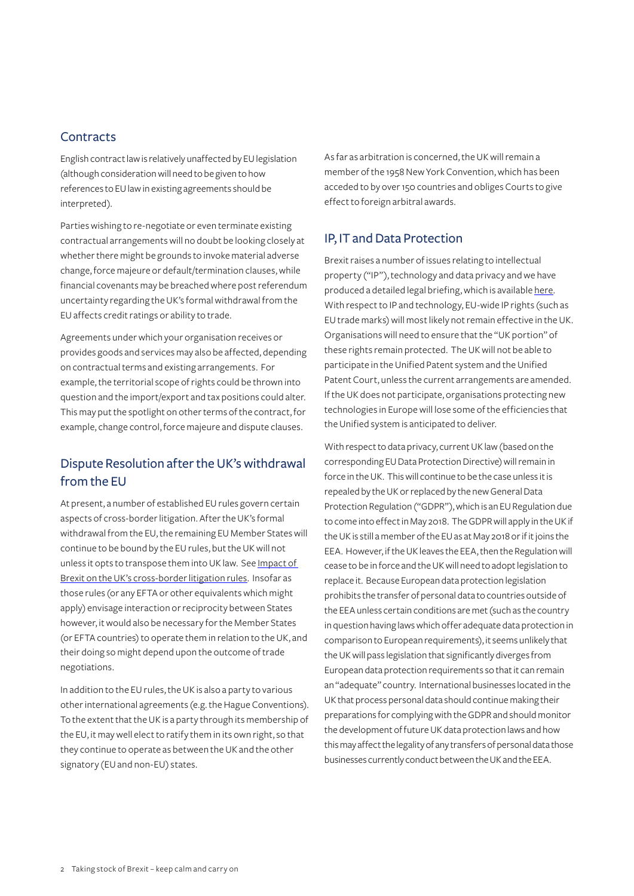#### **Contracts**

English contract law is relatively unaffected by EU legislation (although consideration will need to be given to how references to EU law in existing agreements should be interpreted).

Parties wishing to re-negotiate or even terminate existing contractual arrangements will no doubt be looking closely at whether there might be grounds to invoke material adverse change, force majeure or default/termination clauses, while financial covenants may be breached where post referendum uncertainty regarding the UK's formal withdrawal from the EU affects credit ratings or ability to trade.

Agreements under which your organisation receives or provides goods and services may also be affected, depending on contractual terms and existing arrangements. For example, the territorial scope of rights could be thrown into question and the import/export and tax positions could alter. This may put the spotlight on other terms of the contract, for example, change control, force majeure and dispute clauses.

### Dispute Resolution after the UK's withdrawal from the EU

At present, a number of established EU rules govern certain aspects of cross-border litigation. After the UK's formal withdrawal from the EU, the remaining EU Member States will continue to be bound by the EU rules, but the UK will not unless it opts to transpose them into UK law. See [Impact of](https://www.mayerbrown.com/Impact-of-Brexit-on-the-UKs-cross-border-litigation-rules-06-23-2016/)  [Brexit on the UK's cross-border litigation rules](https://www.mayerbrown.com/Impact-of-Brexit-on-the-UKs-cross-border-litigation-rules-06-23-2016/). Insofar as those rules (or any EFTA or other equivalents which might apply) envisage interaction or reciprocity between States however, it would also be necessary for the Member States (or EFTA countries) to operate them in relation to the UK, and their doing so might depend upon the outcome of trade negotiations.

In addition to the EU rules, the UK is also a party to various other international agreements (e.g. the Hague Conventions). To the extent that the UK is a party through its membership of the EU, it may well elect to ratify them in its own right, so that they continue to operate as between the UK and the other signatory (EU and non-EU) states.

As far as arbitration is concerned, the UK will remain a member of the 1958 New York Convention, which has been acceded to by over 150 countries and obliges Courts to give effect to foreign arbitral awards.

#### IP, IT and Data Protection

Brexit raises a number of issues relating to intellectual property ("IP"), technology and data privacy and we have produced a detailed legal briefing, which is available [here.](https://www.mayerbrown.com/Brexit-How-will-it-affect-my-business-The-implications-for-data-privacy-intellectual-property-and-information-technology-matters-06-23-2016/) With respect to IP and technology, EU-wide IP rights (such as EU trade marks) will most likely not remain effective in the UK. Organisations will need to ensure that the "UK portion" of these rights remain protected. The UK will not be able to participate in the Unified Patent system and the Unified Patent Court, unless the current arrangements are amended. If the UK does not participate, organisations protecting new technologies in Europe will lose some of the efficiencies that the Unified system is anticipated to deliver.

With respect to data privacy, current UK law (based on the corresponding EU Data Protection Directive) will remain in force in the UK. This will continue to be the case unless it is repealed by the UK or replaced by the new General Data Protection Regulation ("GDPR"), which is an EU Regulation due to come into effect in May 2018. The GDPR will apply in the UK if the UK is still a member of the EU as at May 2018 or if it joins the EEA. However, if the UK leaves the EEA, then the Regulation will cease to be in force and the UK will need to adopt legislation to replace it. Because European data protection legislation prohibits the transfer of personal data to countries outside of the EEA unless certain conditions are met (such as the country in question having laws which offer adequate data protection in comparison to European requirements), it seems unlikely that the UK will pass legislation that significantly diverges from European data protection requirements so that it can remain an "adequate" country. International businesses located in the UK that process personal data should continue making their preparations for complying with the GDPR and should monitor the development of future UK data protection laws and how this may affect the legality of any transfers of personal data those businesses currently conduct between the UK and the EEA.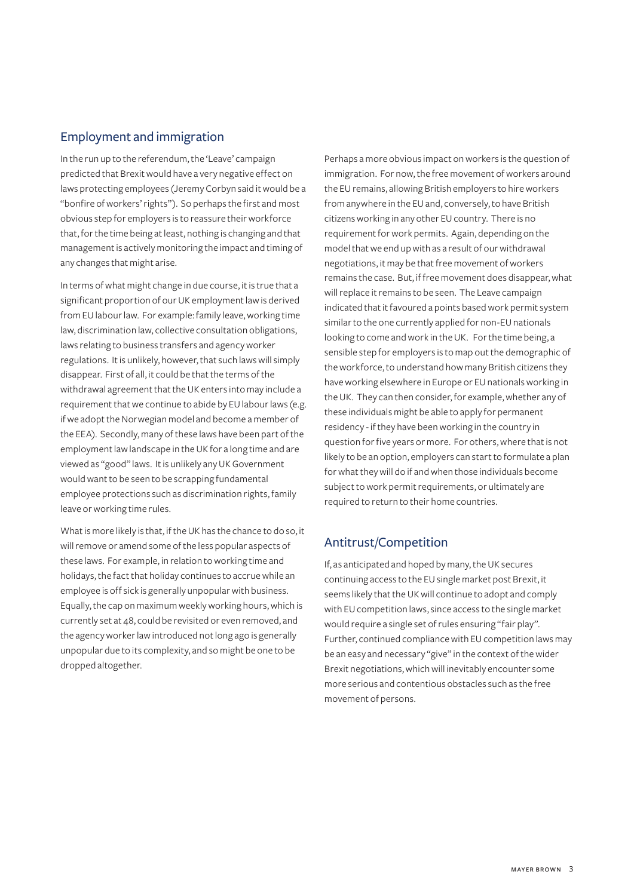#### Employment and immigration

In the run up to the referendum, the 'Leave' campaign predicted that Brexit would have a very negative effect on laws protecting employees (Jeremy Corbyn said it would be a "bonfire of workers' rights"). So perhaps the first and most obvious step for employers is to reassure their workforce that, for the time being at least, nothing is changing and that management is actively monitoring the impact and timing of any changes that might arise.

In terms of what might change in due course, it is true that a significant proportion of our UK employment law is derived from EU labour law. For example: family leave, working time law, discrimination law, collective consultation obligations, laws relating to business transfers and agency worker regulations. It is unlikely, however, that such laws will simply disappear. First of all, it could be that the terms of the withdrawal agreement that the UK enters into may include a requirement that we continue to abide by EU labour laws (e.g. if we adopt the Norwegian model and become a member of the EEA). Secondly, many of these laws have been part of the employment law landscape in the UK for a long time and are viewed as "good" laws. It is unlikely any UK Government would want to be seen to be scrapping fundamental employee protections such as discrimination rights, family leave or working time rules.

What is more likely is that, if the UK has the chance to do so, it will remove or amend some of the less popular aspects of these laws. For example, in relation to working time and holidays, the fact that holiday continues to accrue while an employee is off sick is generally unpopular with business. Equally, the cap on maximum weekly working hours, which is currently set at 48, could be revisited or even removed, and the agency worker law introduced not long ago is generally unpopular due to its complexity, and so might be one to be dropped altogether.

Perhaps a more obvious impact on workers is the question of immigration. For now, the free movement of workers around the EU remains, allowing British employers to hire workers from anywhere in the EU and, conversely, to have British citizens working in any other EU country. There is no requirement for work permits. Again, depending on the model that we end up with as a result of our withdrawal negotiations, it may be that free movement of workers remains the case. But, if free movement does disappear, what will replace it remains to be seen. The Leave campaign indicated that it favoured a points based work permit system similar to the one currently applied for non-EU nationals looking to come and work in the UK. For the time being, a sensible step for employers is to map out the demographic of the workforce, to understand how many British citizens they have working elsewhere in Europe or EU nationals working in the UK. They can then consider, for example, whether any of these individuals might be able to apply for permanent residency - if they have been working in the country in question for five years or more. For others, where that is not likely to be an option, employers can start to formulate a plan for what they will do if and when those individuals become subject to work permit requirements, or ultimately are required to return to their home countries.

#### Antitrust/Competition

If, as anticipated and hoped by many, the UK secures continuing access to the EU single market post Brexit, it seems likely that the UK will continue to adopt and comply with EU competition laws, since access to the single market would require a single set of rules ensuring "fair play". Further, continued compliance with EU competition laws may be an easy and necessary "give" in the context of the wider Brexit negotiations, which will inevitably encounter some more serious and contentious obstacles such as the free movement of persons.